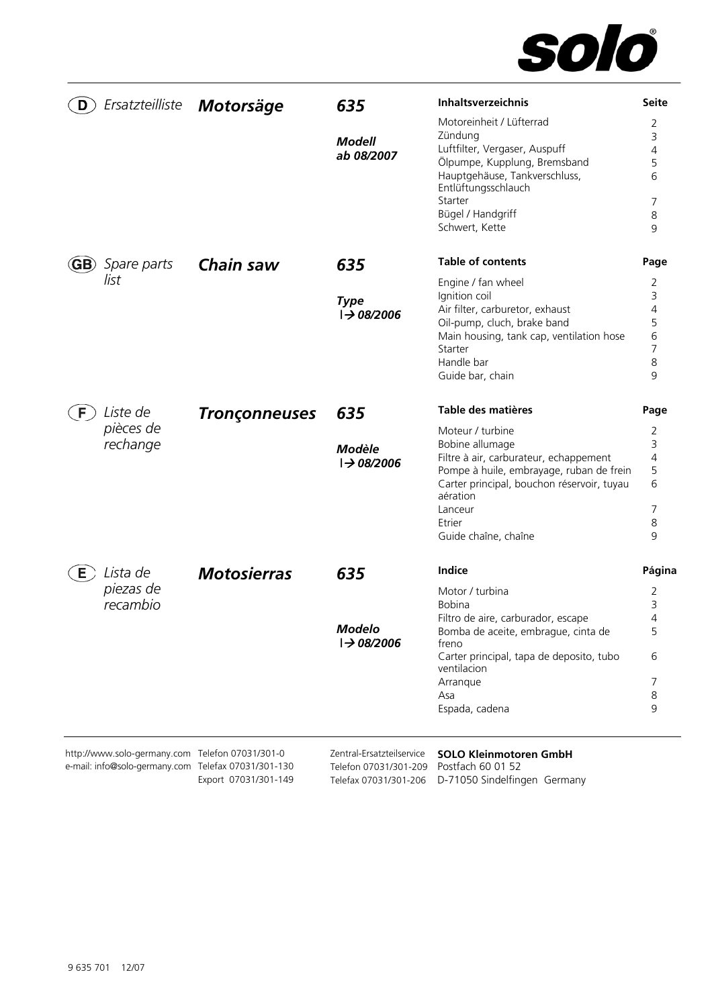

| Ersatzteilliste<br>D                            | Motorsäge            | 635<br><b>Modell</b><br>ab 08/2007            | Inhaltsverzeichnis<br>Motoreinheit / Lüfterrad<br>Zündung<br>Luftfilter, Vergaser, Auspuff<br>Ölpumpe, Kupplung, Bremsband<br>Hauptgehäuse, Tankverschluss,<br>Entlüftungsschlauch<br>Starter<br>Bügel / Handgriff | <b>Seite</b><br>2<br>3<br>4<br>5<br>6<br>7<br>8 |
|-------------------------------------------------|----------------------|-----------------------------------------------|--------------------------------------------------------------------------------------------------------------------------------------------------------------------------------------------------------------------|-------------------------------------------------|
| Spare parts<br>GB)<br>list                      | Chain saw            | 635                                           | Schwert, Kette<br><b>Table of contents</b><br>Engine / fan wheel                                                                                                                                                   | 9<br>Page<br>2                                  |
|                                                 |                      | <b>Type</b><br>$\rightarrow 08/2006$          | Ignition coil<br>Air filter, carburetor, exhaust<br>Oil-pump, cluch, brake band<br>Main housing, tank cap, ventilation hose<br>Starter<br>Handle bar<br>Guide bar, chain                                           | 3<br>4<br>5<br>6<br>$\overline{7}$<br>8<br>9    |
| Liste de<br>F<br>pièces de<br>rechange          | <b>Tronçonneuses</b> | 635<br><b>Modèle</b><br>$\rightarrow 08/2006$ | Table des matières<br>Moteur / turbine<br>Bobine allumage<br>Filtre à air, carburateur, echappement<br>Pompe à huile, embrayage, ruban de frein                                                                    | Page<br>2<br>3<br>4<br>5                        |
|                                                 |                      |                                               | Carter principal, bouchon réservoir, tuyau<br>aération<br>Lanceur<br>Etrier<br>Guide chaîne, chaîne                                                                                                                | 6<br>7<br>8<br>9                                |
| Lista de<br>E                                   | <b>Motosierras</b>   | 635                                           | Indice                                                                                                                                                                                                             | Página                                          |
| piezas de<br>recambio                           |                      |                                               | Motor / turbina<br><b>Bobina</b><br>Filtro de aire, carburador, escape                                                                                                                                             | 2<br>3<br>4                                     |
|                                                 |                      | <b>Modelo</b><br>$\rightarrow 08/2006$        | Bomba de aceite, embrague, cinta de<br>freno                                                                                                                                                                       | 5                                               |
|                                                 |                      |                                               | Carter principal, tapa de deposito, tubo<br>ventilacion                                                                                                                                                            | 6                                               |
|                                                 |                      |                                               | Arranque<br>Asa                                                                                                                                                                                                    | 7<br>8                                          |
|                                                 |                      |                                               | Espada, cadena                                                                                                                                                                                                     | 9                                               |
| http://www.solo-germany.com Telefon 07031/301-0 |                      | Zentral-Ersatzteilservice                     | <b>SOLO Kleinmotoren GmbH</b>                                                                                                                                                                                      |                                                 |

e-mail: info@solo-germany.com Telefax 07031/301-130 Export 07031/301-149 Telefon 07031/301-209 Telefax 07031/301-206 D-71050 Sindelfingen Germany Postfach 60 01 52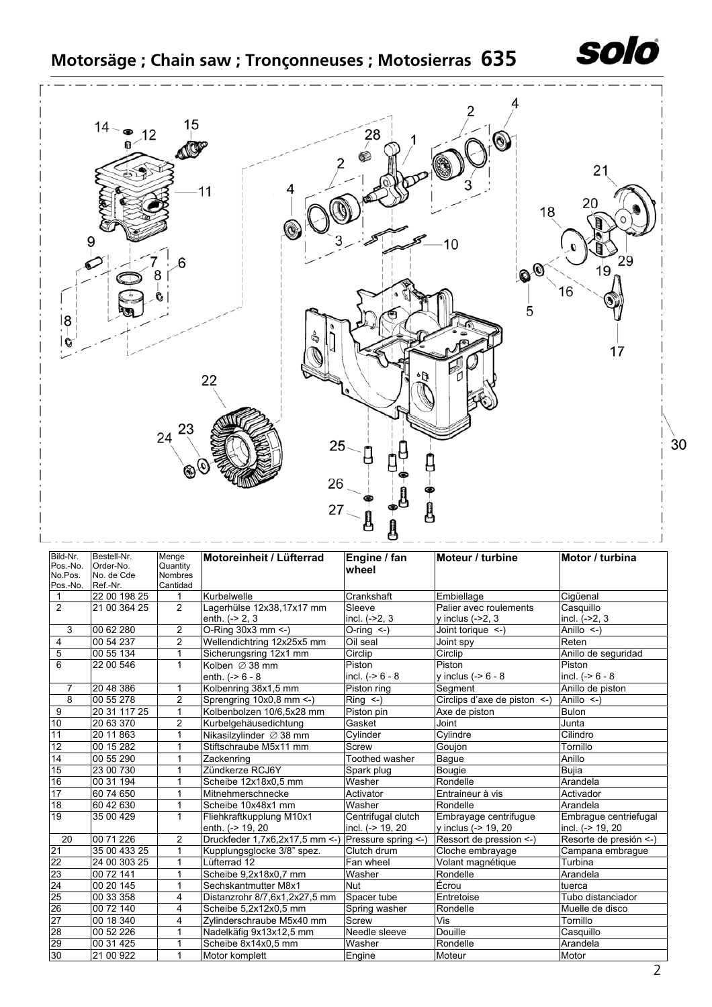



| Bild-Nr.<br>Pos.-No.<br>No.Pos.<br>Pos.-No. | Bestell-Nr.<br>Order-No.<br>No. de Cde<br>Ref.-Nr. | Menge<br>Quantity<br><b>Nombres</b><br>Cantidad | Motoreinheit / Lüfterrad      | Engine / fan<br>wheel | Moteur / turbine                  | Motor / turbina        |
|---------------------------------------------|----------------------------------------------------|-------------------------------------------------|-------------------------------|-----------------------|-----------------------------------|------------------------|
| $\mathbf{1}$                                | 22 00 198 25                                       | 1                                               | Kurbelwelle                   | Crankshaft            | Embiellage                        | Cigüenal               |
| $\overline{2}$                              | 21 00 364 25                                       | $\overline{2}$                                  | Lagerhülse 12x38,17x17 mm     | Sleeve                | Palier avec roulements            | Casquillo              |
|                                             |                                                    |                                                 | enth. $(-2, 3)$               | incl. $(-2, 3)$       | y inclus $(-2, 3)$                | incl. $(-2, 3)$        |
| 3                                           | 00 62 280                                          | $\overline{2}$                                  | O-Ring 30x3 mm <- )           | O-ring $\leftarrow$ ) | Joint torique <-)                 | Anillo $\leq$ )        |
| 4                                           | 00 54 237                                          | $\overline{2}$                                  | Wellendichtring 12x25x5 mm    | Oil seal              | Joint spy                         | Reten                  |
| 5                                           | 00 55 134                                          | $\mathbf{1}$                                    | Sicherungsring 12x1 mm        | Circlip               | Circlip                           | Anillo de seguridad    |
| 6                                           | 22 00 546                                          | 1                                               | Kolben $\varnothing$ 38 mm    | Piston                | Piston                            | Piston                 |
|                                             |                                                    |                                                 | enth. $(-8 - 8 - 8)$          | incl. $(-56 - 8)$     | y inclus $(-56 - 8)$              | incl. $(-56 - 8)$      |
| 7                                           | 20 48 386                                          | 1                                               | Kolbenring 38x1,5 mm          | Piston ring           | Segment                           | Anillo de piston       |
| $\overline{8}$                              | 00 55 278                                          | $\overline{2}$                                  | Sprengring 10x0,8 mm <- )     | $Ring < -$ )          | Circlips d'axe de piston $\leq$ ) | Anillo $\leq$ )        |
| 9                                           | 20 31 117 25                                       | 1                                               | Kolbenbolzen 10/6.5x28 mm     | Piston pin            | Axe de piston                     | <b>Bulon</b>           |
| 10                                          | 20 63 370                                          | $\overline{c}$                                  | Kurbelgehäusedichtung         | Gasket                | Joint                             | Junta                  |
| 11                                          | 20 11 863                                          | 1                                               | Nikasilzylinder Ø 38 mm       | Cylinder              | Cylindre                          | Cilindro               |
| $\overline{12}$                             | 00 15 282                                          | 1                                               | Stiftschraube M5x11 mm        | Screw                 | Goujon                            | Tornillo               |
| 14                                          | 00 55 290                                          | 1                                               | Zackenring                    | Toothed washer        | Bague                             | Anillo                 |
| 15                                          | 23 00 730                                          | 1                                               | Zündkerze RCJ6Y               | Spark plug            | Bougie                            | Bujia                  |
| 16                                          | 00 31 194                                          |                                                 | Scheibe 12x18x0,5 mm          | Washer                | Rondelle                          | Arandela               |
| $\overline{17}$                             | 60 74 650                                          |                                                 | Mitnehmerschnecke             | Activator             | Entraineur à vis                  | Activador              |
| $\overline{18}$                             | 60 42 630                                          | 1                                               | Scheibe 10x48x1 mm            | Washer                | Rondelle                          | Arandela               |
| 19                                          | 35 00 429                                          | $\mathbf{1}$                                    | Fliehkraftkupplung M10x1      | Centrifugal clutch    | Embrayage centrifugue             | Embraque centriefugal  |
|                                             |                                                    |                                                 | enth. (-> 19, 20              | incl. (-> 19, 20      | y inclus (-> 19, 20               | incl. (-> 19, 20       |
| 20                                          | 00 71 226                                          | $\overline{2}$                                  | Druckfeder 1,7x6,2x17,5 mm <- | Pressure spring <- )  | Ressort de pression <-)           | Resorte de presión <-) |
| 21                                          | 35 00 433 25                                       | 1                                               | Kupplungsglocke 3/8" spez.    | Clutch drum           | Cloche embrayage                  | Campana embrague       |
| 22                                          | 24 00 303 25                                       | $\mathbf{1}$                                    | Lüfterrad 12                  | Fan wheel             | Volant magnétique                 | Turbina                |
| 23                                          | 00 72 141                                          | $\mathbf{1}$                                    | Scheibe 9,2x18x0,7 mm         | Washer                | Rondelle                          | Arandela               |
| 24                                          | 00 20 145                                          | 1                                               | Sechskantmutter M8x1          | <b>Nut</b>            | Écrou                             | tuerca                 |
| 25                                          | 00 33 358                                          | 4                                               | Distanzrohr 8/7,6x1,2x27,5 mm | Spacer tube           | Entretoise                        | Tubo distanciador      |
| 26                                          | 00 72 140                                          | 4                                               | Scheibe 5,2x12x0,5 mm         | Spring washer         | Rondelle                          | Muelle de disco        |
| 27                                          | 00 18 340                                          | 4                                               | Zylinderschraube M5x40 mm     | Screw                 | Vis                               | Tornillo               |
| $\overline{28}$                             | 00 52 226                                          | 1                                               | Nadelkäfig 9x13x12,5 mm       | Needle sleeve         | Douille                           | Casquillo              |
| 29                                          | 00 31 425                                          | 1                                               | Scheibe 8x14x0,5 mm           | Washer                | Rondelle                          | Arandela               |
| 30                                          | 21 00 922                                          | $\mathbf{1}$                                    | Motor komplett                | Engine                | Moteur                            | Motor                  |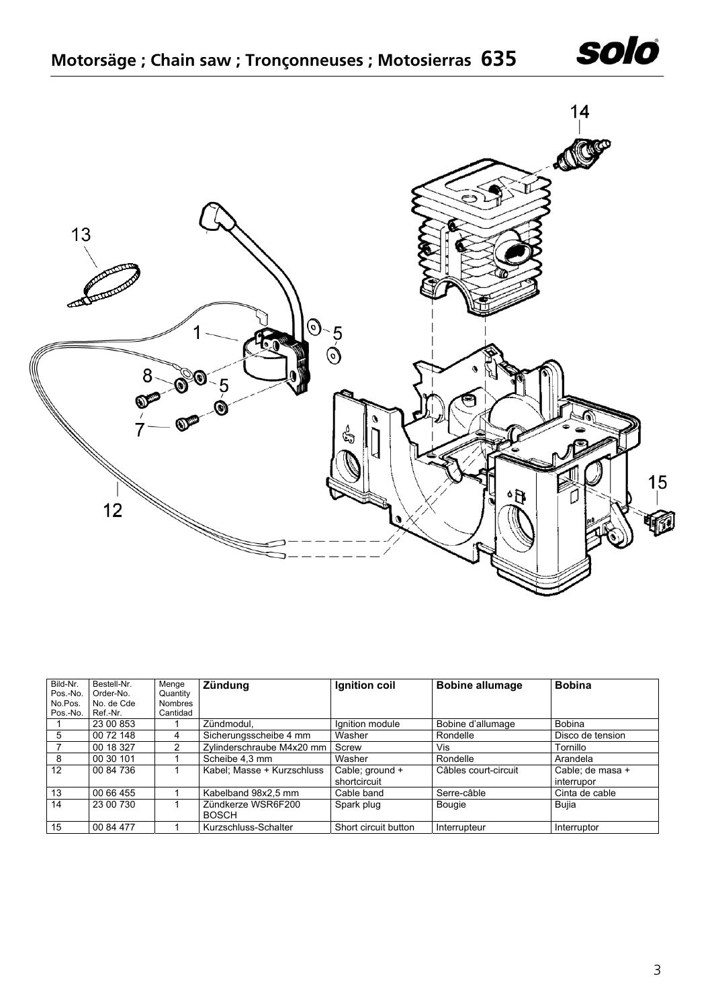



| Bild-Nr. | Bestell-Nr. | Menge          | <b>Zündung</b>             | Ignition coil        | <b>Bobine allumage</b> | <b>Bobina</b>    |
|----------|-------------|----------------|----------------------------|----------------------|------------------------|------------------|
| Pos.-No. | Order-No.   | Quantity       |                            |                      |                        |                  |
| No.Pos.  | No. de Cde  | <b>Nombres</b> |                            |                      |                        |                  |
| Pos.-No. | Ref.-Nr.    | Cantidad       |                            |                      |                        |                  |
|          | 23 00 853   |                | Zündmodul,                 | Ignition module      | Bobine d'allumage      | <b>Bobina</b>    |
| 5        | 00 72 148   | 4              | Sicherungsscheibe 4 mm     | Washer               | Rondelle               | Disco de tension |
|          | 00 18 327   | 2              | Zylinderschraube M4x20 mm  | Screw                | Vis                    | Tornillo         |
| 8        | 00 30 101   |                | Scheibe 4.3 mm             | Washer               | Rondelle               | Arandela         |
| 12       | 00 84 736   |                | Kabel; Masse + Kurzschluss | Cable; ground +      | Câbles court-circuit   | Cable; de masa + |
|          |             |                |                            | shortcircuit         |                        | interrupor       |
| 13       | 00 66 455   |                | Kabelband 98x2,5 mm        | Cable band           | Serre-câble            | Cinta de cable   |
| 14       | 23 00 730   |                | Zündkerze WSR6F200         | Spark plug           | Bougie                 | Bujia            |
|          |             |                | <b>BOSCH</b>               |                      |                        |                  |
| 15       | 00 84 477   |                | Kurzschluss-Schalter       | Short circuit button | Interrupteur           | Interruptor      |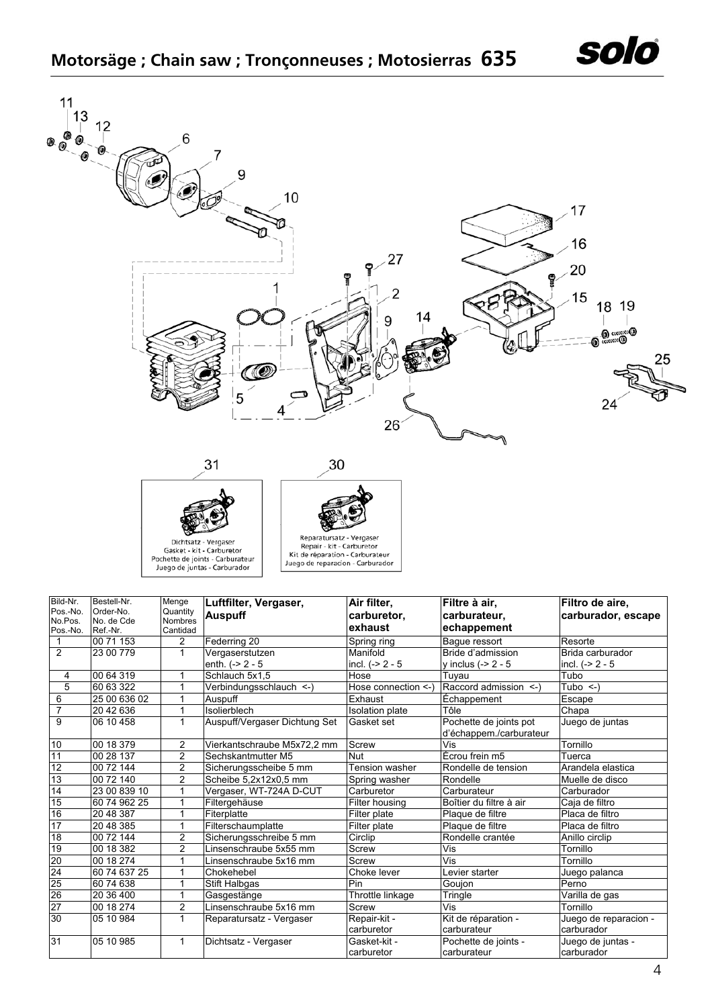





| Kit de réparation - Carburateur  |
|----------------------------------|
| Juego de reparacion - Carburador |
|                                  |

| Bild-Nr.            | Bestell-Nr.            | Menge                      | Luftfilter, Vergaser,         | Air filter,            | Filtre à air,           | Filtro de aire,       |
|---------------------|------------------------|----------------------------|-------------------------------|------------------------|-------------------------|-----------------------|
| Pos.-No.            | Order-No.              | Quantity                   | <b>Auspuff</b>                | carburetor,            | carburateur.            | carburador, escape    |
| No.Pos.<br>Pos.-No. | No. de Cde<br>Ref.-Nr. | <b>Nombres</b><br>Cantidad |                               | exhaust                | echappement             |                       |
|                     | 00 71 153              | $\overline{2}$             | Federring 20                  | Spring ring            | Baque ressort           | Resorte               |
| $\overline{2}$      | 23 00 779              | $\mathbf{1}$               | Vergaserstutzen               | Manifold               | Bride d'admission       | Brida carburador      |
|                     |                        |                            | enth. $(-2 - 5)$              | incl. $(-2 - 5)$       | y inclus $(-2 - 5$      | incl. $(-2 - 5)$      |
| 4                   | 00 64 319              | 1                          | Schlauch 5x1,5                | Hose                   | Tuyau                   | Tubo                  |
| $\overline{5}$      | 60 63 322              | 1                          | Verbindungsschlauch <- )      | Hose connection <-)    | Raccord admission <-)   | Tubo $\leq$ )         |
| 6                   | 25 00 636 02           | 1                          | Auspuff                       | Exhaust                | Echappement             | Escape                |
| $\overline{7}$      | 20 42 636              | 1                          | Isolierblech                  | <b>Isolation</b> plate | Tôle                    | Chapa                 |
| 9                   | 06 10 458              | 1                          | Auspuff/Vergaser Dichtung Set | Gasket set             | Pochette de joints pot  | Juego de juntas       |
|                     |                        |                            |                               |                        | d'échappem./carburateur |                       |
| 10                  | 00 18 379              | 2                          | Vierkantschraube M5x72,2 mm   | Screw                  | Vis                     | Tornillo              |
| 11                  | 00 28 137              | $\overline{2}$             | Sechskantmutter M5            | <b>Nut</b>             | Écrou frein m5          | Tuerca                |
| $\overline{12}$     | 00 72 144              | 2                          | Sicherungsscheibe 5 mm        | Tension washer         | Rondelle de tension     | Arandela elastica     |
| 13                  | 00 72 140              | $\overline{2}$             | Scheibe 5,2x12x0,5 mm         | Spring washer          | Rondelle                | Muelle de disco       |
| 14                  | 23 00 839 10           |                            | Vergaser, WT-724A D-CUT       | Carburetor             | Carburateur             | Carburador            |
| 15                  | 60 74 962 25           | 1                          | Filtergehäuse                 | Filter housing         | Boîtier du filtre à air | Caja de filtro        |
| 16                  | 20 48 387              | 1                          | Fiterplatte                   | Filter plate           | Plaque de filtre        | Placa de filtro       |
| 17                  | 20 48 385              | 1                          | Filterschaumplatte            | Filter plate           | Plaque de filtre        | Placa de filtro       |
| 18                  | 00 72 144              | 2                          | Sicherungsschreibe 5 mm       | Circlip                | Rondelle crantée        | Anillo circlip        |
| 19                  | 00 18 382              | $\overline{2}$             | Linsenschraube 5x55 mm        | Screw                  | Vis                     | Tornillo              |
| 20                  | 00 18 274              | 1                          | Linsenschraube 5x16 mm        | Screw                  | Vis                     | Tornillo              |
| 24                  | 60 74 637 25           | 1                          | Chokehebel                    | Choke lever            | Levier starter          | Juego palanca         |
| 25                  | 60 74 638              | $\mathbf{1}$               | Stift Halbgas                 | Pin                    | Goujon                  | Perno                 |
| 26                  | 20 36 400              | 1                          | Gasgestänge                   | Throttle linkage       | Tringle                 | Varilla de gas        |
| $\overline{27}$     | 00 18 274              | $\overline{c}$             | Linsenschraube 5x16 mm        | Screw                  | Vis                     | Tornillo              |
| 30                  | 05 10 984              | 1                          | Reparatursatz - Vergaser      | Repair-kit -           | Kit de réparation -     | Juego de reparacion - |
|                     |                        |                            |                               | carburetor             | carburateur             | carburador            |
| 31                  | 05 10 985              | 1                          | Dichtsatz - Vergaser          | Gasket-kit -           | Pochette de joints -    | Juego de juntas -     |
|                     |                        |                            |                               | carburetor             | carburateur             | carburador            |

solo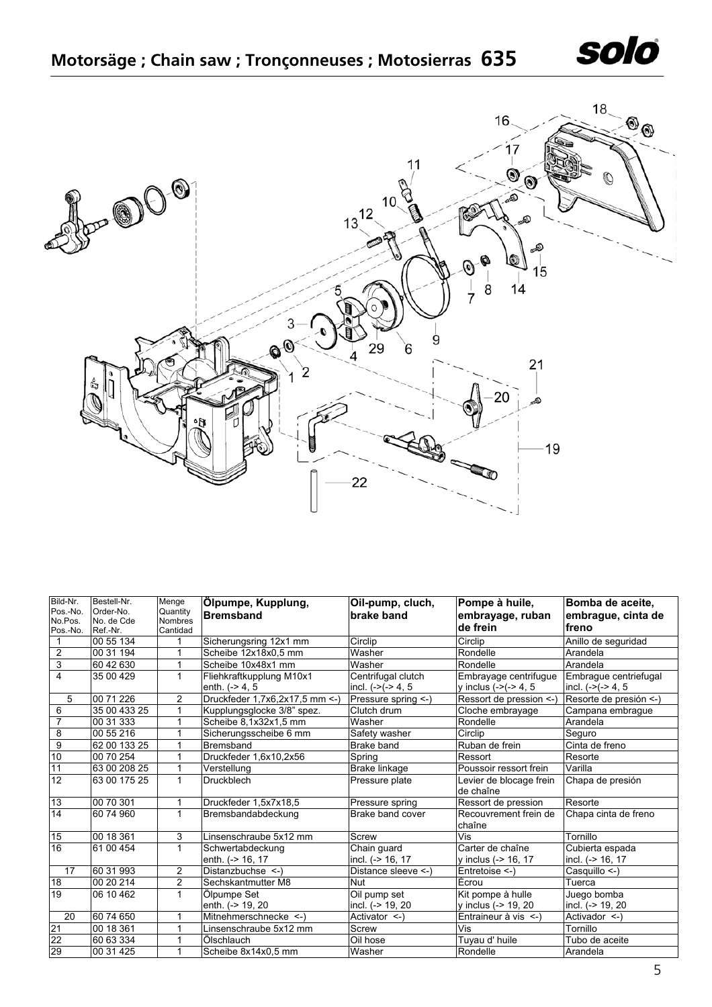



| Bild-Nr.            | Bestell-Nr.             | Menge               | Ölpumpe, Kupplung,                            | Oil-pump, cluch,                           | Pompe à huile,                                    | Bomba de aceite,                              |
|---------------------|-------------------------|---------------------|-----------------------------------------------|--------------------------------------------|---------------------------------------------------|-----------------------------------------------|
| Pos.-No.<br>No.Pos. | Order-No.<br>No. de Cde | Quantity            | <b>Bremsband</b>                              | brake band                                 | embrayage, ruban                                  | embrague, cinta de                            |
| Pos.-No.            | Ref.-Nr.                | Nombres<br>Cantidad |                                               |                                            | de frein                                          | freno                                         |
|                     | 00 55 134               | 1                   | Sicherungsring 12x1 mm                        | Circlip                                    | Circlip                                           | Anillo de seguridad                           |
| $\overline{2}$      | 00 31 194               | 1                   | Scheibe 12x18x0.5 mm                          | Washer                                     | Rondelle                                          | Arandela                                      |
| 3                   | 60 42 630               | $\mathbf{1}$        | Scheibe 10x48x1 mm                            | Washer                                     | Rondelle                                          | Arandela                                      |
| $\overline{4}$      | 35 00 429               | 1                   | Fliehkraftkupplung M10x1<br>enth. $(-> 4, 5)$ | Centrifugal clutch<br>incl. $(-)(-2)$ 4, 5 | Embrayage centrifugue<br>y inclus $(-)(-2, 4, 5)$ | Embraque centriefugal<br>incl. $(-)(-2)$ 4, 5 |
| 5                   | 00 71 226               | $\overline{2}$      | Druckfeder 1,7x6,2x17,5 mm <- )               | Pressure spring <-)                        | Ressort de pression <-                            | Resorte de presión <-)                        |
| 6                   | 35 00 433 25            | 1                   | Kupplungsglocke 3/8" spez.                    | Clutch drum                                | Cloche embrayage                                  | Campana embrague                              |
| $\overline{7}$      | 00 31 333               | 1                   | Scheibe 8,1x32x1,5 mm                         | Washer                                     | Rondelle                                          | Arandela                                      |
| $\overline{8}$      | 00 55 216               | 1                   | Sicherungsscheibe 6 mm                        | Safety washer                              | Circlip                                           | Seguro                                        |
| $\overline{9}$      | 62 00 133 25            | 1                   | <b>Bremsband</b>                              | Brake band                                 | Ruban de frein                                    | Cinta de freno                                |
| 10                  | 00 70 254               | 1                   | Druckfeder 1,6x10,2x56                        | Spring                                     | Ressort                                           | Resorte                                       |
| 11                  | 63 00 208 25            | $\mathbf{1}$        | Verstellung                                   | Brake linkage                              | Poussoir ressort frein                            | Varilla                                       |
| 12                  | 63 00 175 25            | $\mathbf{1}$        | <b>Druckblech</b>                             | Pressure plate                             | Levier de blocage frein<br>de chaîne              | Chapa de presión                              |
| 13                  | 00 70 301               | 1                   | Druckfeder 1,5x7x18,5                         | Pressure spring                            | Ressort de pression                               | Resorte                                       |
| 14                  | 60 74 960               | $\mathbf{1}$        | Bremsbandabdeckung                            | Brake band cover                           | Recouvrement frein de<br>chaîne                   | Chapa cinta de freno                          |
| 15                  | 00 18 361               | 3                   | Linsenschraube 5x12 mm                        | Screw                                      | Vis                                               | Tornillo                                      |
| 16                  | 61 00 454               | $\mathbf{1}$        | Schwertabdeckung<br>enth. (-> 16, 17          | Chain quard<br>incl. (-> 16, 17            | Carter de chaîne<br>y inclus (-> 16, 17           | Cubierta espada<br>incl. (-> 16, 17           |
| 17                  | 60 31 993               | $\overline{2}$      | Distanzbuchse <-)                             | Distance sleeve <-)                        | Entretoise <-)                                    | Casquillo <-)                                 |
| 18                  | 00 20 214               | $\overline{2}$      | Sechskantmutter M8                            | <b>Nut</b>                                 | Écrou                                             | Tuerca                                        |
| 19                  | 06 10 462               | $\mathbf{1}$        | Ölpumpe Set                                   | Oil pump set                               | Kit pompe à hulle                                 | Juego bomba                                   |
|                     |                         |                     | enth. (-> 19, 20                              | incl. (-> 19, 20                           | y inclus (-> 19, 20                               | incl. (-> 19, 20                              |
| 20                  | 60 74 650               | 1                   | Mitnehmerschnecke <-)                         | Activator <- )                             | Entraineur à vis <-)                              | Activador <-)                                 |
| 21                  | 00 18 361               | 1                   | Linsenschraube 5x12 mm                        | Screw                                      | Vis                                               | Tornillo                                      |
| $\frac{22}{29}$     | 60 63 334               | 1                   | <b>Ölschlauch</b>                             | Oil hose                                   | Tuyau d' huile                                    | Tubo de aceite                                |
|                     | 00 31 425               | 1                   | Scheibe 8x14x0,5 mm                           | Washer                                     | Rondelle                                          | Arandela                                      |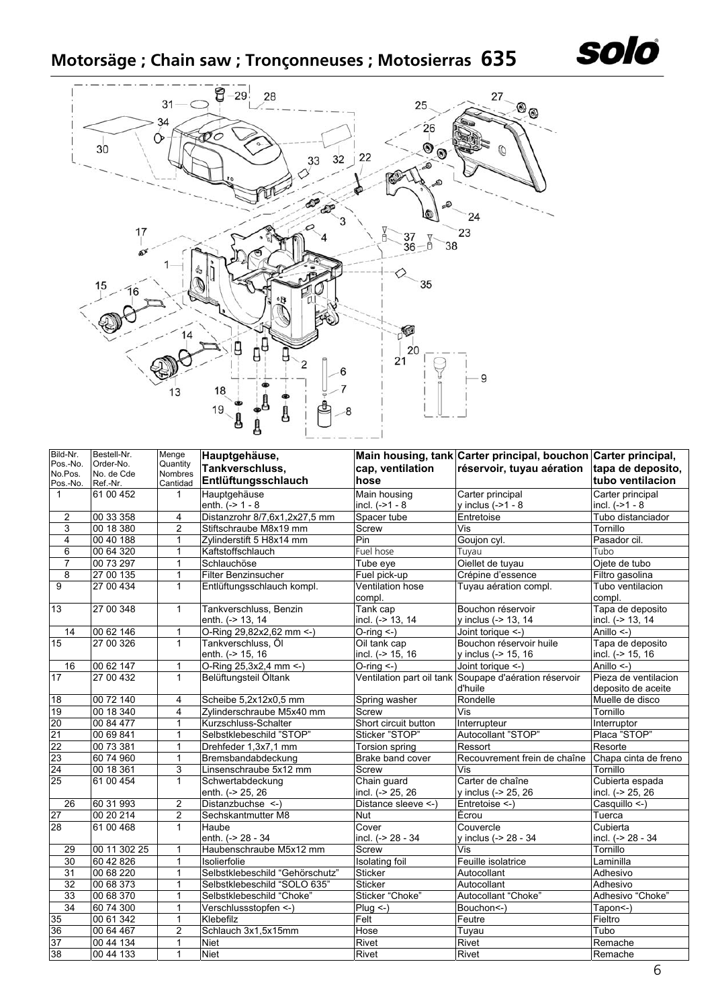

## **Motorsäge ; Chain saw ; Tronçonneuses ; Motosierras 635**



| Bild-Nr.        | Bestell-Nr.  | Menge               | Hauptgehäuse,                        |                                   | Main housing, tank Carter principal, bouchon Carter principal,    |                                            |
|-----------------|--------------|---------------------|--------------------------------------|-----------------------------------|-------------------------------------------------------------------|--------------------------------------------|
| Pos.-No.        | Order-No.    | Quantity            | Tankverschluss,                      | cap, ventilation                  | réservoir, tuyau aération                                         | tapa de deposito,                          |
| No.Pos.         | No. de Cde   | Nombres             | Entlüftungsschlauch                  | hose                              |                                                                   | tubo ventilacion                           |
| Pos.-No.        | Ref.-Nr.     | Cantidad            |                                      |                                   |                                                                   |                                            |
| $\mathbf{1}$    | 61 00 452    | 1                   | Hauptgehäuse<br>enth. $(-2) - 1 - 8$ | Main housing<br>incl. $(-21 - 8)$ | Carter principal<br>$v$ inclus $(-21 - 8$                         | Carter principal<br>incl. $(-21 - 8)$      |
|                 |              |                     |                                      |                                   |                                                                   | Tubo distanciador                          |
| 2<br>3          | 00 33 358    | 4<br>$\overline{2}$ | Distanzrohr 8/7,6x1,2x27,5 mm        | Spacer tube                       | Entretoise                                                        |                                            |
|                 | 00 18 380    |                     | Stiftschraube M8x19 mm               | Screw                             | Vis                                                               | Tornillo                                   |
| $\overline{4}$  | 00 40 188    | 1                   | Zylinderstift 5 H8x14 mm             | Pin                               | Goujon cyl.                                                       | Pasador cil.                               |
| $\overline{6}$  | 00 64 320    | $\mathbf{1}$        | Kaftstoffschlauch                    | Fuel hose                         | Tuyau                                                             | Tubo                                       |
| 7               | 00 73 297    | 1                   | Schlauchöse                          | Tube eye                          | Oiellet de tuyau                                                  | Ojete de tubo                              |
| $\overline{8}$  | 27 00 135    | $\mathbf{1}$        | Filter Benzinsucher                  | Fuel pick-up                      | Crépine d'essence                                                 | Filtro gasolina                            |
| 9               | 27 00 434    | $\mathbf{1}$        | Entlüftungsschlauch kompl.           | <b>Ventilation hose</b><br>compl. | Tuyau aération compl.                                             | Tubo ventilacion<br>compl.                 |
| 13              | 27 00 348    | $\mathbf{1}$        | Tankverschluss, Benzin               | Tank cap                          | Bouchon réservoir                                                 | Tapa de deposito                           |
|                 |              |                     | enth. (-> 13, 14                     | incl. (-> 13, 14                  | y inclus (-> 13, 14                                               | incl. (-> 13, 14                           |
| 14              | 00 62 146    | 1                   | O-Ring 29,82x2,62 mm <- )            | $O$ -ring $\leq$ -)               | Joint torique <-)                                                 | Anillo $\leq$ )                            |
| 15              | 27 00 326    | $\mathbf{1}$        | Tankverschluss, Öl                   | Oil tank cap                      | Bouchon réservoir huile                                           | Tapa de deposito                           |
|                 |              |                     | enth. (-> 15, 16                     | incl. (-> 15, 16                  | y inclus (-> 15, 16                                               | incl. (-> 15, 16                           |
| 16              | 00 62 147    | $\mathbf{1}$        | O-Ring 25,3x2,4 mm <- )              | $O-ring <$                        | Joint torique <-)                                                 | Anillo <-)                                 |
| 17              | 27 00 432    | $\mathbf{1}$        | Belüftungsteil Öltank                |                                   | Ventilation part oil tank Soupape d'aération réservoir<br>d'huile | Pieza de ventilacion<br>deposito de aceite |
| 18              | 00 72 140    | 4                   | Scheibe 5,2x12x0,5 mm                | Spring washer                     | Rondelle                                                          | Muelle de disco                            |
| 19              | 00 18 340    | 4                   | Zylinderschraube M5x40 mm            | Screw                             | Vis                                                               | Tornillo                                   |
| 20              | 00 84 477    | 1                   | Kurzschluss-Schalter                 | Short circuit button              | Interrupteur                                                      | Interruptor                                |
| 21              | 00 69 841    | 1                   | Selbstklebeschild "STOP"             | Sticker "STOP"                    | Autocollant "STOP"                                                | Placa "STOP"                               |
|                 | 00 73 381    | 1                   | Drehfeder 1,3x7,1 mm                 | Torsion spring                    | Ressort                                                           | Resorte                                    |
| $\frac{22}{23}$ | 60 74 960    | 1                   | Bremsbandabdeckung                   | Brake band cover                  | Recouvrement frein de chaîne                                      | Chapa cinta de freno                       |
| 24              | 00 18 361    | 3                   | Linsenschraube 5x12 mm               | Screw                             | $\overline{\mathsf{Vis}}$                                         | Tornillo                                   |
| 25              | 61 00 454    | $\mathbf{1}$        | Schwertabdeckung                     | Chain guard                       | Carter de chaîne                                                  | Cubierta espada                            |
|                 |              |                     | enth. (-> 25, 26                     | incl. (-> 25, 26                  | y inclus (-> 25, 26                                               | incl. (-> 25, 26                           |
| 26              | 60 31 993    | 2                   | Distanzbuchse <- )                   | Distance sleeve <- )              | Entretoise <-)                                                    | Casquillo <-)                              |
| 27              | 00 20 214    | 2                   | Sechskantmutter M8                   | <b>Nut</b>                        | Écrou                                                             | Tuerca                                     |
| 28              | 61 00 468    | $\mathbf{1}$        | <b>Haube</b>                         | Cover                             | Couvercle                                                         | Cubierta                                   |
|                 |              |                     | enth. (-> 28 - 34                    | incl. (-> 28 - 34                 | v inclus (-> 28 - 34                                              | incl. (-> 28 - 34                          |
| 29              | 00 11 302 25 | $\mathbf{1}$        | Haubenschraube M5x12 mm              | Screw                             | Vis                                                               | Tornillo                                   |
| 30              | 60 42 826    | $\mathbf{1}$        | Isolierfolie                         | Isolating foil                    | Feuille isolatrice                                                | Laminilla                                  |
| 31              | 00 68 220    | 1                   | Selbstklebeschild "Gehörschutz"      | <b>Sticker</b>                    | Autocollant                                                       | Adhesivo                                   |
| 32              | 00 68 373    | 1                   | Selbstklebeschild "SOLO 635"         | <b>Sticker</b>                    | Autocollant                                                       | Adhesivo                                   |
| 33              | 00 68 370    | $\mathbf{1}$        | Selbstklebeschild "Choke"            | Sticker "Choke"                   | Autocollant "Choke"                                               | Adhesivo "Choke"                           |
| 34              | 60 74 300    | $\mathbf{1}$        | Verschlussstopfen <- )               | $Plug \leftarrow$                 | Bouchon<-)                                                        | Tapon<-)                                   |
| 35              | 00 61 342    | 1                   | Klebefilz                            | Felt                              | Feutre                                                            | Fieltro                                    |
| 36              | 00 64 467    | 2                   | Schlauch 3x1,5x15mm                  | Hose                              | Tuyau                                                             | Tubo                                       |
| $\overline{37}$ | 00 44 134    | 1                   | Niet                                 | Rivet                             | Rivet                                                             | Remache                                    |
| 38              | 00 44 133    | $\mathbf{1}$        | Niet                                 | Rivet                             | Rivet                                                             | Remache                                    |
|                 |              |                     |                                      |                                   |                                                                   |                                            |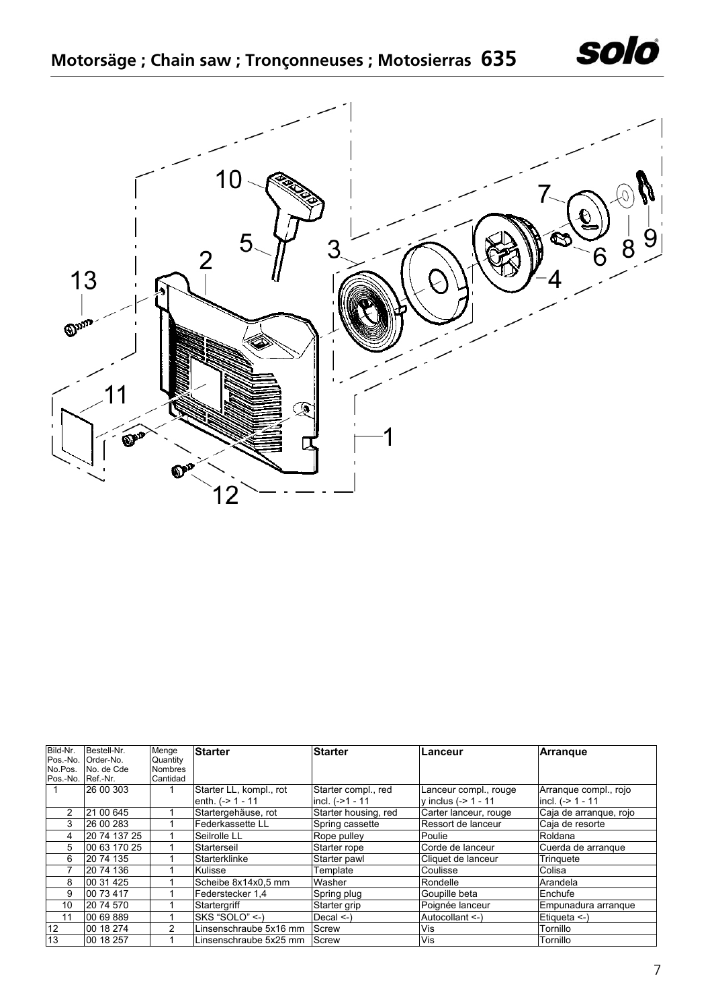



| Bild-Nr. | Bestell-Nr.  | Menge          | <b>Starter</b>          | Starter              | Lanceur                | <b>Arrangue</b>        |
|----------|--------------|----------------|-------------------------|----------------------|------------------------|------------------------|
| Pos.-No. | Order-No.    | Quantity       |                         |                      |                        |                        |
| No.Pos.  | No. de Cde   | <b>Nombres</b> |                         |                      |                        |                        |
| Pos.-No. | Ref.-Nr.     | Cantidad       |                         |                      |                        |                        |
|          | 26 00 303    |                | Starter LL, kompl., rot | Starter compl., red  | Lanceur compl., rouge  | Arrangue compl., rojo  |
|          |              |                | enth. $(-> 1 - 11)$     | incl. (->1 - 11      | y inclus $(-2 1 - 11)$ | incl. $(-2)$ 1 - 11    |
| 2        | 21 00 645    |                | Startergehäuse, rot     | Starter housing, red | Carter lanceur, rouge  | Caja de arranque, rojo |
| 3        | 26 00 283    |                | Federkassette LL        | Spring cassette      | Ressort de lanceur     | Caja de resorte        |
| 4        | 20 74 137 25 |                | Seilrolle LL            | Rope pulley          | Poulie                 | Roldana                |
| 5        | 00 63 170 25 |                | Starterseil             | Starter rope         | Corde de lanceur       | Cuerda de arrangue     |
| 6        | 20 74 135    |                | Starterklinke           | Starter pawl         | Cliquet de lanceur     | Tringuete              |
|          | 20 74 136    |                | Kulisse                 | Template             | Coulisse               | Colisa                 |
| 8        | 00 31 425    |                | Scheibe 8x14x0.5 mm     | Washer               | Rondelle               | Arandela               |
| 9        | 00 73 417    |                | Federstecker 1,4        | Spring plug          | Goupille beta          | Enchufe                |
| 10       | 20 74 570    |                | Startergriff            | Starter grip         | Poignée lanceur        | Empunadura arrangue    |
| 11       | 00 69 889    |                | SKS "SOLO" <- )         | Decal $\le$ -)       | Autocollant <-)        | Etiqueta <-)           |
| 12       | 00 18 274    | 2              | Linsenschraube 5x16 mm  | Screw                | Vis                    | Tornillo               |
| 13       | 00 18 257    |                | Linsenschraube 5x25 mm  | Screw                | Vis                    | Tornillo               |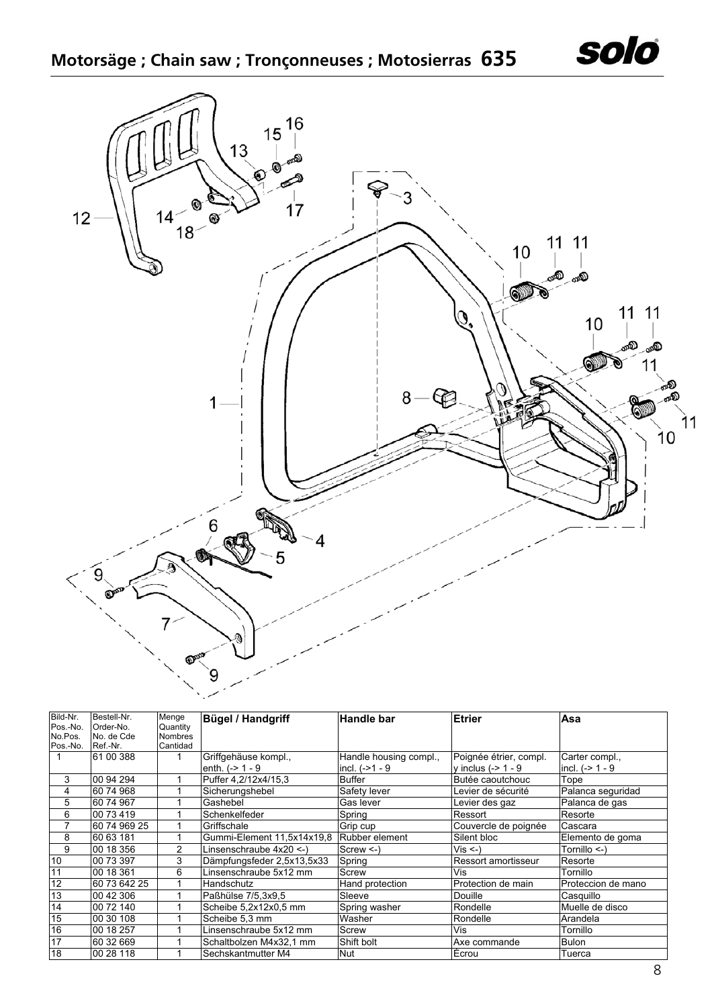

| Bild-Nr. | Bestell-Nr.  | Menge          | <b>Bügel / Handgriff</b>   | <b>Handle bar</b>      | Etrier                 | Asa                |
|----------|--------------|----------------|----------------------------|------------------------|------------------------|--------------------|
| Pos.-No. | Order-No.    | Quantity       |                            |                        |                        |                    |
| No.Pos.  | No. de Cde   | <b>Nombres</b> |                            |                        |                        |                    |
| Pos.-No. | Ref.-Nr.     | Cantidad       |                            |                        |                        |                    |
|          | 61 00 388    |                | Griffgehäuse kompl.,       | Handle housing compl., | Poignée étrier, compl. | Carter compl.,     |
|          |              |                | enth. $(-> 1 - 9$          | incl. $(-21 - 9)$      | y inclus $(-> 1 - 9$   | incl. $(-> 1 - 9$  |
| 3        | 00 94 294    |                | Puffer 4.2/12x4/15.3       | Buffer                 | Butée caoutchouc       | Tope               |
| 4        | 60 74 968    |                | Sicherungshebel            | Safety lever           | Levier de sécurité     | Palanca seguridad  |
| 5        | 60 74 967    |                | Gashebel                   | Gas lever              | Levier des gaz         | Palanca de gas     |
| 6        | 00 73 419    |                | Schenkelfeder              | Spring                 | Ressort                | Resorte            |
|          | 60 74 969 25 |                | Griffschale                | Grip cup               | Couvercle de poignée   | Cascara            |
| 8        | 60 63 181    |                | Gummi-Element 11,5x14x19,8 | Rubber element         | Silent bloc            | Elemento de goma   |
| 9        | 00 18 356    | $\overline{2}$ | Linsenschraube 4x20 <-)    | $Screw < -$            | $Vis < -$              | Tornillo <-)       |
| 10       | 00 73 397    | 3              | Dämpfungsfeder 2,5x13,5x33 | Spring                 | Ressort amortisseur    | Resorte            |
| 11       | 00 18 361    | 6              | Linsenschraube 5x12 mm     | Screw                  | Vis                    | Tornillo           |
| 12       | 60 73 642 25 |                | Handschutz                 | Hand protection        | Protection de main     | Proteccion de mano |
| 13       | 00 42 306    |                | Paßhülse 7/5.3x9.5         | Sleeve                 | <b>Douille</b>         | Casquillo          |
| 14       | 00 72 140    |                | Scheibe 5,2x12x0,5 mm      | Spring washer          | Rondelle               | Muelle de disco    |
| 15       | 00 30 108    |                | Scheibe 5,3 mm             | Washer                 | Rondelle               | Arandela           |
| 16       | 00 18 257    |                | Linsenschraube 5x12 mm     | Screw                  | Vis                    | Tornillo           |
| 17       | 60 32 669    |                | Schaltbolzen M4x32,1 mm    | Shift bolt             | Axe commande           | <b>Bulon</b>       |
| 18       | 00 28 118    |                | Sechskantmutter M4         | <b>Nut</b>             | Écrou                  | Tuerca             |